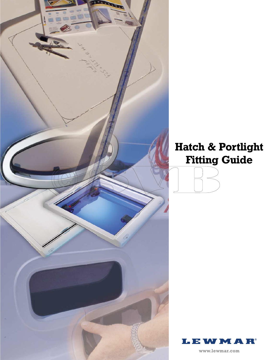

# **Hatch & Portlight Fitting Guide**

**www.lewmar.com**

**I.EWM** 

A R®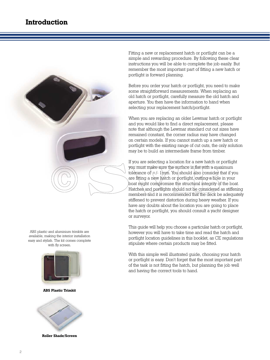

ABS plastic and aluminium trimkits are available, making the interior installation easy and stylish. The kit comes complete with fly screen.



**ABS Plastic Trimkit**



**Roller Shade/Screen**

Fitting a new or replacement hatch or portlight can be a simple and rewarding procedure. By following these clear instructions you will be able to complete the job easily. But remember the most important part of fitting a new hatch or portlight is forward planning.

Before you order your hatch or portlight, you need to make some straightforward measurements. When replacing an old hatch or portlight, carefully measure the old hatch and aperture. You then have the information to hand when selecting your replacement hatch/portlight.

When you are replacing an older Lewmar hatch or portlight and you would like to find a direct replacement, please note that although the Lewmar standard cut out sizes have remained constant, the corner radius may have changed on certain models. If you cannot match up a new hatch or portlight with the existing range of cut outs, the only solution may be to build an intermediate frame from timber.

If you are selecting a location for a new hatch or portlight you must make sure the surface is flat with a maximum tolerance of  $+/- 1$ mm. You should also consider that if you are fitting a new hatch or portlight, <del>cut</del>ting a hole in your boat might compromise the structural integrity of the boat. Hatches and portlights should not be considered as stiffening members and it is recommended that the deck be adequately stiffened to prevent distortion during heavy weather. If you have any doubts about the location you are going to place the hatch or portlight, you should consult a yacht designer or surveyor.

This guide will help you choose a particular hatch or portlight, however you will have to take time and read the hatch and portlight location guidelines in this booklet, as CE regulations stipulate where certain products may be fitted.

With this simple well illustrated guide, choosing your hatch or portlight is easy. Don't forget that the most important part of the task is not fitting the hatch, but planning the job well and having the correct tools to hand.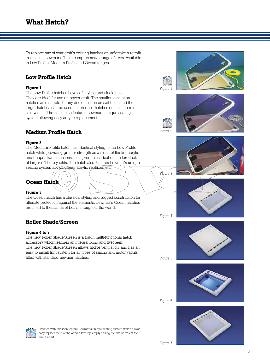To replace any of your craft's existing hatches or undertake a retrofit installation, Lewmar offers a comprehensive range of sizes. Available in Low Profile, Medium Profile and Ocean ranges.

# **Low Profile Hatch**

#### **Figure 1**

The Low Profile hatches have soft styling and sleek looks. They are ideal for use on power craft. The smaller ventilation hatches are suitable for any deck location on sail boats and the larger hatches can be used as foredeck hatches on small to mid size yachts. The hatch also features Lewmar's unique sealing system allowing easy acrylic replacement.

# **Medium Profile Hatch**

#### **Figure 2**

The Medium Profile hatch has identical styling to the Low Profile hatch while providing greater strength as a result of thicker acrylic and deeper frame sections. This product is ideal on the foredeck of larger offshore yachts. The hatch also features Lewmar's unique sealing system allowing easy acrylic replacement.



#### **Figure 3**

The Ocean hatch has a classical styling and rugged construction for ultimate protection against the elements. Lewmar's Ocean hatches are fitted to thousands of boats throughout the world.

# **Roller Shade/Screen**

#### **Figure 4 to 7**

The new Roller Shade/Screen is a tough multi-functional hatch accessory which features an integral blind and flyscreen. The new Roller Shade/Screen allows trickle ventilation, and has an easy to install trim system for all types of sailing and motor yachts fitted with standard Lewmar hatches.



Figure 1

Figure 2

Figure 3

Figure 4









Hatches with this icon feature Lewmar's unique sealing system which allows easy replacement of the acrylic lens by simply sliding the two halves of the frame apart.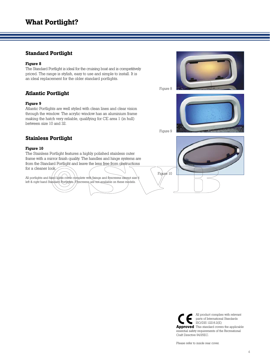# **Standard Portlight**

#### **Figure 8**

The Standard Portlight is ideal for the cruising boat and is competitively priced. The range is stylish, easy to use and simple to install. It is an ideal replacement for the older standard portlights.

# **Atlantic Portlight**

#### **Figure 9**

Atlantic Portlights are well styled with clean lines and clear vision through the window. The acrylic window has an aluminium frame making the hatch very reliable, qualifying for CE area 1 (in hull) between size 10 and 32.



Figure 10

Figure 8

# **Stainless Portlight**

#### **Figure 10**

The Stainless Portlight features a highly polished stainless outer frame with a mirror finish quality. The handles and hinge systems are from the Standard Portlight and leave the lens free from obstructions

for a cleaner look.

All portlights and fixed lights come complete with fixings and flyscreens except size 4 left & right hand Standard Portlights. Flyscreens are not available on these models.



Please refer to inside rear cover.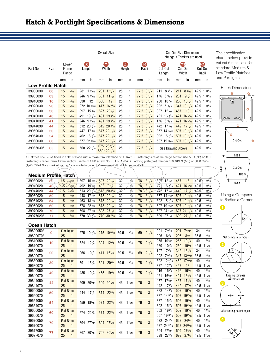# **Hatch & Portlight Specifications & Dimensions**

|                          | Overall Size |                          |      |     |                          |     |                                                                         |    |             | <b>Cut-Out Size Dimensions</b><br>change if Trimkits are used |                    |     |                         |     |                           |    |                        |
|--------------------------|--------------|--------------------------|------|-----|--------------------------|-----|-------------------------------------------------------------------------|----|-------------|---------------------------------------------------------------|--------------------|-----|-------------------------|-----|---------------------------|----|------------------------|
| Part No                  | Size         | Lower<br>Frame<br>Flange |      |     | $(\mathbf{X})$<br>Length |     | Y<br>Width                                                              |    | z<br>Height |                                                               | G<br>Radii         |     | Œ<br>Cut-Out<br>Length  |     | YÐ<br>Cut-Out<br>Width    |    | ŒD<br>Cut-Out<br>Radii |
|                          |              | mm                       | in   | mm  | in                       | mm  | in                                                                      | mm | in          | mm                                                            | in                 | mm  | in                      | mm  | in                        | mm | in                     |
| <b>Low Profile Hatch</b> |              |                          |      |     |                          |     |                                                                         |    |             |                                                               |                    |     |                         |     |                           |    |                        |
| 39900030                 | 00           | 15                       | 9/16 | 281 | 111/16                   | 281 | 111/16                                                                  | 25 | 1           |                                                               | $77.5$ 3 $1/_{16}$ | 211 | 85/16                   | 211 | 85/16                     |    | 42.5 1 11/16           |
| 39903030                 | 03           | 15                       | 9/16 |     | 246 9 11/16              | 301 | $11 \frac{7}{8}$                                                        | 25 | 1           |                                                               | $77.5$ 3 $1/_{16}$ | 176 | 615/16                  | 231 | $9 \frac{1}{8}$           |    | 42.5 1 11/16           |
| 39910030                 | 10           | 15                       | 9/16 | 330 | 12                       | 330 | 12                                                                      | 25 | 1           |                                                               | $77.5$ 3 $1/_{16}$ | 260 | $10 \frac{1}{4}$        | 260 | $10^{1/4}$                |    | 42.5 1 11/16           |
| 39920030                 | 20           | 15                       | 9/16 |     | 272 10 11/16             |     | 417 16 $\frac{7}{16}$                                                   | 25 | 1           |                                                               | $77.5$ 3 $1/_{16}$ |     | $202$ 7 $15/16$         |     | 347 13 11/16              |    | 42.5 1 11/16           |
| 39930030                 | 30           | 15                       | 9/16 | 397 | $15\frac{5}{8}$          | 527 | $20\frac{3}{4}$                                                         | 25 | 1           |                                                               | 77.5 3 $1/16$      | 327 | $12\frac{7}{8}$         | 457 | 18                        |    | 42.5 1 11/16           |
| 39940030                 | 40           | 15                       | 9/16 | 491 | $19\frac{5}{16}$         |     | 491 19 $\frac{5}{16}$                                                   | 25 | 1           |                                                               | $77.5$ 3 $1/_{16}$ | 421 | $16\frac{9}{16}$        |     | 421 16 $9/16$             |    | 42.5 1 11/16           |
| 39941030*                | 41           | 15                       | 9/16 |     | 246 9 11/16              |     | 491 19 $\frac{5}{16}$                                                   | 25 | 1           |                                                               | $77.5$ 3 $1/_{16}$ | 176 | 615/16                  |     | 421 16 %                  |    | $42.5$ 1 $11/16$       |
| 39944030                 | 44           | 15                       | 9/16 |     | 512 20 $3/16$            |     | 512 20 $3/16$                                                           | 25 | 1           |                                                               | $77.5$ 3 $1/_{16}$ | 442 | $17 \frac{3}{8}$        |     | 442 $17\frac{3}{8}$       |    | 42.5 1 11/16           |
| 39950030                 | 50           | 15                       | 9/16 |     | 447 17 5/8               |     | 577 22 11/16                                                            | 25 | 1           |                                                               | $77.5$ 3 $1/_{16}$ |     | 377 14 13/16            |     | 507 19 15/16 42.5 1 11/16 |    |                        |
| 39954030                 | 54           | 15                       | 9/16 |     | 462 18 3/16              |     | 577 22 11/16                                                            | 25 | 1           |                                                               | $77.5$ 3 $1/_{16}$ |     | $392$ 15 $\frac{7}{16}$ |     | 507 19 15/16 42.5 1 11/16 |    |                        |
| 39960030                 | 60           | 15                       | 9/16 |     | 577 22 11/16             |     | 577 22 11/16                                                            | 25 | 1           |                                                               | $77.5$ 3 $1/_{16}$ |     | 507 19 15/16            |     | 507 19 15/16              |    | 42.5 1 11/16           |
| 39965030*                | 65           | 15                       | 9/16 |     | 560 22 $1/16$            |     | 675+ 26 $9/16$ <sup>t</sup><br>560 <sup>++</sup> 22 $1/16$ <sup>+</sup> | 25 | 1           | 77.5                                                          | $3 \frac{1}{16}$   |     | See Drawing Above       |     |                           |    | 42.5 1 11/16           |

• Hatches should be fitted to a flat surface with a maximum tolerance of  $\pm$  1mm. • Fastening size at the hinge section use M6 (1/4") bolts. • Fastening size for lower frame section use 5mm CSK screw No. 10 UNC 2BA. • Backing plate part number 360061909 (M6) or 360062909 (1/4''). \*Part No's marked with a \* are made to order. † Maximum Width. †† Minimum Width.  $\Rightarrow$ 

| Medium Profile Hatch |                 |    |                 |     |                     |     |                       |              |                 |    |                  |     |                  |     |                                                                        |                |                  |  |
|----------------------|-----------------|----|-----------------|-----|---------------------|-----|-----------------------|--------------|-----------------|----|------------------|-----|------------------|-----|------------------------------------------------------------------------|----------------|------------------|--|
| 39930020             | 30 <sup>1</sup> | 15 | $-\frac{9}{16}$ | 397 | $15\frac{5}{8}$ 527 |     | $20\frac{3}{4}$       | 32           | 1/4             | 87 | $3 \frac{1}{16}$ | 327 | $12\frac{7}{8}$  | 457 | 18                                                                     | $ 42.5\rangle$ | 11/16            |  |
| 39940020             | 40              | 15 | 9/16            | 492 | $19\%$              | 492 | $9\frac{3}{8}$        | 32           | 1/4             | 78 | $3 \frac{1}{16}$ | 421 | $16\frac{9}{16}$ | 421 | $16\frac{9}{16}$                                                       | 42.5           | 111/16           |  |
| 39944020             | 44              | 15 | $-9/16$         |     | $513 \t20 \t3/s$    |     | $51320\frac{3}{16}$   | $32^{\circ}$ | $1 \frac{1}{4}$ | 78 | 31/16            | 442 |                  |     | $17 \frac{3}{8}$ $-442$ $17 \frac{3}{8}$                               | 42.5           | 111/16           |  |
| 39950020             | 50              | 15 | 9/16            | 448 | $17^{\frac{5}{8}}$  |     | 578 22 3/4            | 32           | $1 \frac{1}{4}$ | 78 | $3 \frac{1}{16}$ |     |                  |     | $377$ 14 $\frac{13}{16}$ 507 19 $\frac{15}{16}$ 42.5 1 $\frac{11}{16}$ |                |                  |  |
| 39954020             | 54              | 15 | 9/16            | 463 | $18 \frac{1}{4}$    |     | 578 22 3/4            | 32           | $1 \frac{1}{4}$ | 78 | $3 \frac{1}{16}$ |     |                  |     | 392 15 7/16 507 19 15/16 42.5 1 11/16                                  |                |                  |  |
| 39960020             | 60              | 15 | 9/16            | 578 | $22\frac{3}{4}$     |     | 578 22 3/4            | 32           | $1 \frac{1}{4}$ | 78 | $3 \frac{1}{16}$ |     |                  |     | 507 19 15/16 507 19 15/16 42.5 1 11/16                                 |                |                  |  |
| 39970020             | 70              | 15 | 9/16            | 698 | $27 \frac{1}{2}$    | 698 | $27 \frac{1}{2}$      | 32           | $1 \frac{1}{4}$ | 78 | $3 \frac{1}{16}$ |     |                  |     | 627 24 $\frac{11}{16}$ 627 24 $\frac{11}{16}$ 42.5 1 $\frac{11}{16}$   |                |                  |  |
| 39977020*            | 77              | 15 | 9/16            | 770 | $30\frac{5}{16}$    |     | 770 30 $\frac{5}{16}$ | 32           | $1 \frac{1}{4}$ | 78 | $3 \frac{1}{16}$ | 699 | $27 \frac{1}{2}$ |     | 699 27 $1/2$                                                           |                | $42.5$ 1 $11/16$ |  |

#### **Ocean Hatch**

| 39600050* | $\Omega$ | <b>Flat Base</b>   | 275 1013/16            | $275$ 10 <sup>13</sup> / <sub>16</sub> 39.5 | 19/16         | 211/16<br>69      | 201 | 715/16          | 201 | 715/16          | 34   | 15/16  |     |            |     |            |      |        |
|-----------|----------|--------------------|------------------------|---------------------------------------------|---------------|-------------------|-----|-----------------|-----|-----------------|------|--------|-----|------------|-----|------------|------|--------|
| 39600070* |          | 25<br>1            |                        |                                             |               |                   | 206 | $8^{1/8}$       | 206 | $8^{1/8}$       | 36.5 | 17/16  |     |            |     |            |      |        |
| 39610050  | 10       | <b>Flat Base</b>   | $12^{3/4}$<br>324      | $12^{3/4}$<br>324                           | 39.5<br>19/16 | 75<br>$2^{15/16}$ | 255 | $10^{1/16}$     | 255 | $10^{1/16}$     | 40   | 19/16  |     |            |     |            |      |        |
| 39610070  |          | 25<br>1            |                        |                                             |               |                   |     |                 |     |                 |      |        | 260 | $10^{1/4}$ | 260 | $10^{1/4}$ | 42.5 | 111/16 |
| 39620050  | 20       | <b>Flat Base</b>   | 266<br>$10^{1/2}$      | $16^{3/16}$<br>411                          | 39.5<br>19/16 | 211/16<br>69      | 197 | 73/4            | 342 | $13^{7/16}$     | 34   | 15/16  |     |            |     |            |      |        |
| 39620070  |          | 25<br>1            |                        |                                             |               |                   | 202 | 715/16          | 347 | $13^{11}/_{16}$ | 36.5 | 17/16  |     |            |     |            |      |        |
| 39630050  | 30       | <b>Flat Base</b>   | 391<br>$15\frac{3}{8}$ | $20^{1/2}$<br>521                           | 39.5<br>19/16 | 215/16<br>75      | 322 | $12^{11/16}$    | 452 | $17^{13/16}$    | 40   | 19/16  |     |            |     |            |      |        |
| 39630070  |          | 25<br>$\mathbf{1}$ |                        |                                             |               |                   | 327 | $12\frac{7}{8}$ | 457 | 18              | 42.5 | 111/16 |     |            |     |            |      |        |
| 39640050  | 40       | <b>Flat Base</b>   | $19^{1/8}$<br>485      | $19^{1/8}$<br>485                           | 39.5<br>19/16 | $2^{15/16}$<br>75 | 416 | $16^{3}/_8$     | 416 | $16^{3}/_8$     | 40   | 19/16  |     |            |     |            |      |        |
| 39640070  |          | 25<br>1            |                        |                                             |               |                   | 421 | 169/16          | 421 | 169/16          | 42.5 | 111/16 |     |            |     |            |      |        |
| 39644050  | 44       | <b>Flat Base</b>   | $20^{1/16}$<br>509     | $20^{1/16}$<br>509                          | 43<br>111/16  | 3<br>76           | 437 | 173/16          | 437 | $17^{3/16}$     | 40   | 19/16  |     |            |     |            |      |        |
| 39644070  |          | 25<br>1            |                        |                                             |               |                   | 442 | $17^{3}/_8$     | 442 | $17^{3}/_8$     | 42.5 | 111/16 |     |            |     |            |      |        |
| 39650050  | 50       | <b>Flat Base</b>   | $17^{1/2}$<br>444      | $22^{5/8}$<br>574                           | 43<br>111/16  | 3<br>76           | 372 | 145/8           | 502 | $19^{3/4}$      | 40   | 19/16  |     |            |     |            |      |        |
| 39650070  |          | 25<br>1            |                        |                                             |               |                   | 377 | $14^{13/16}$    | 507 | $19^{15/16}$    | 42.5 | 111/16 |     |            |     |            |      |        |
| 39654050  | 54       | <b>Flat Base</b>   | $18^{1/16}$<br>459     | 574<br>$22^{5/8}$                           | 43<br>111/16  | 3<br>76           | 387 | $15^{1/4}$      | 502 | $19^{3}/4$      | 40   | 19/16  |     |            |     |            |      |        |
| 39654070  |          | 25<br>1            |                        |                                             |               |                   | 392 | $15\frac{7}{8}$ | 507 | $19^{15/16}$    | 42.5 | 111/16 |     |            |     |            |      |        |
| 39660050  | 60       | <b>Flat Base</b>   | $22^{5/8}$<br>574      | $22^{5/8}$<br>574                           | 43<br>111/16  | 3<br>76           | 502 | $19^{3/4}$      | 502 | $19^{3/4}$      | 40   | 19/16  |     |            |     |            |      |        |
| 39660070  |          | 25<br>$\mathbf{1}$ |                        |                                             |               |                   | 507 | $19^{15/16}$    | 507 | $19^{15}/_{16}$ | 42.5 | 111/16 |     |            |     |            |      |        |
| 39670050  | 70       | <b>Flat Base</b>   | 694 275/16             | 275/16<br>694                               | 43<br>111/16  | 3<br>76           | 622 | $24^{1/2}$      | 622 | $24^{1/2}$      | 40   | 19/16  |     |            |     |            |      |        |
| 39670070  |          | 25<br>$\mathbf{1}$ |                        |                                             |               |                   | 627 | $24^{11}/_{16}$ | 627 | $24^{11}/_{16}$ | 42.5 | 111/16 |     |            |     |            |      |        |
| 39677050  | 77       | <b>Flat Base</b>   | $30^{3/16}$<br>767     | $30^{3/16}$<br>767                          | 43<br>111/16  | 3<br>76           | 694 | $27^{5}/_{16}$  | 694 | $27^{5}/_{16}$  | 40   | 19/16  |     |            |     |            |      |        |
| 39677070  |          | 25<br>1            |                        |                                             |               |                   | 699 | $27^{1/2}$      | 699 | $27^{1/2}$      | 42.5 | 111/16 |     |            |     |            |      |        |

The specification charts below provide cut out dimensions for standard Medium & Low Profile Hatches and Portlights.

Hatch Dimensions



Using a Compass to Radius a Corner





Keeping compass<br>setting constant



After setting do not adjust

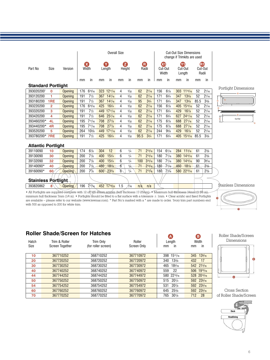|                            |                |                | <b>Overall Size</b> |                                |                  |                 |    |               | <b>Cut-Out Size Dimensions</b><br>change if Trimkits are used |                 |     |                  |     |                   |      |                                 |   |                      |
|----------------------------|----------------|----------------|---------------------|--------------------------------|------------------|-----------------|----|---------------|---------------------------------------------------------------|-----------------|-----|------------------|-----|-------------------|------|---------------------------------|---|----------------------|
| Part No                    | Size           | Version        |                     | $\boldsymbol{\Omega}$<br>Width |                  | Y.<br>Length    | Ø  | Height        |                                                               | ®<br>Radii      | Œ   | Cut-Out<br>Width | (Y) | Cut-Out<br>Length |      | $\bf \bf G$<br>Cut-Out<br>Radii |   |                      |
|                            |                |                | mm                  | in                             | mm               | in              | mm | in            | mm                                                            | in              | mm  | in               | mm  | in                | mm   | in                              |   |                      |
| <b>Standard Portlight</b>  |                |                |                     |                                |                  |                 |    |               |                                                               |                 |     |                  |     |                   |      |                                 |   |                      |
| 3930202001                 | 0              | Opening        | 176                 | 615/16                         | 323              | $12^{11/16}$    | 4  | 5/32          | 62                                                            | 27/16           | 156 | $6^{1/8}$        |     | 303 1115/16       | 52   | 21/16                           |   | Portlight Dimensions |
| 393120200                  | 1              | Opening        | 191                 | 71/2                           | 367              | $14^{7}/_{16}$  | 4  | 5/32          | 62                                                            | $2^{7/16}$      | 171 | 63/4             | 347 | $13^{5/8}$        | 52   | $2^{1/16}$                      |   |                      |
| 393180200                  | 1RE            | Opening        | 191                 | 71/2                           | 367              | $14^{7/16}$     | 4  | 5/32          | 95                                                            | 33/4            | 171 | 63/4             | 347 | 135/8             | 85.5 | $3\frac{3}{8}$                  | Q |                      |
| 393220200                  | $\overline{2}$ | Opening        | 176                 | 615/16                         | 425              | $16^{3/4}$      | 4  | 5/32          | 62                                                            | 27/16           | 156 | $6^{1/8}$        |     | 405 1515/16       | 52   | $2^{1/16}$                      |   |                      |
| 393320200                  | 3              | Opening        | 191                 | 71/2                           | 449              | $17^{11}/_{16}$ | 4  | 5/32          | 62                                                            | $2^{7/16}$      | 171 | $6^{3/4}$        | 429 | $16^{7}/s$        | 52   | $2^{1/16}$                      |   |                      |
| 393420200                  | 4              | Opening        | 191                 | 71/2                           | 646              | $25^{7}/_{16}$  | 4  | 5/32          | 62                                                            | 27/16           | 171 | 63/4             | 627 | 2411/16           | 52   | $2^{1/16}$                      |   |                      |
| 393460200*                 | 4L             | Opening        | 195                 | 711/16                         | 708              | $27^{7}/8$      | 4  | 5/32          | 62                                                            | $2^{7/16}$      | 175 | $6^{7}/_8$       | 688 | $27^{1/16}$       | 52   | $2^{1/16}$                      |   | Cut-Out              |
| 393440200*                 | 4R             | <b>Opening</b> | 195                 | 711/16                         | 708              | $27^{7}/8$      | 4  | 5/32          | 62                                                            | $2^{7/16}$      | 175 | $6^{7}/_8$       | 688 | $27^{1/16}$       | 52   | $2^{1/16}$                      |   |                      |
| 393520200                  | 5              | Opening        | 264                 | $10^{3/8}$                     | 449              | $17^{11/16}$    | 4  | 5/32          | 62                                                            | 27/16           | 244 | 95/8             | 429 | $16^{7}/8$        | 52   | 21/16                           |   |                      |
| 393780200* 7RE             |                | <b>Opening</b> | 191                 | 71/2                           | 425              | $16^{3/4}$      | 4  | 5/32          | 95.5                                                          | $3^{3}/4$       | 171 | 63/4             |     | 405 1513/16       | 85.5 | $3^{3}/8$                       |   |                      |
| <b>Atlantic Portlight</b>  |                |                |                     |                                |                  |                 |    |               |                                                               |                 |     |                  |     |                   |      |                                 |   |                      |
| 39110090                   | 10             | Opening        | 174                 | $6^{7}/8$                      | 304              | 12              | 6  | 1/4           | 71                                                            | $2^{13/16}$     | 154 | $6^{1/16}$       | 284 | $11^{3/16}$       | 61   | $2^{3/8}$                       |   |                      |
| 39130090                   | 30             | <b>Opening</b> | 200                 | 77/8                           | 400              | $15^{3/4}$      | 6  | 1/4           | 71                                                            | 213/16          | 180 | 71/16            |     | 380 1415/16       | 61   | $2^{3/8}$                       |   |                      |
| 39132090                   | 32             | Opening        | 200                 | 77/8                           | 400              | $15^{3}/4$      | 6  | 1/4           | 100                                                           | 315/16          | 180 | 71/16            |     | 380 1415/16       | 90   | 39/16                           |   |                      |
| 39140090*                  | 40             | <b>Opening</b> | 200                 | 77/8                           | 480              | 187/8           | б  | $\frac{1}{4}$ | 71                                                            | $2^{13/16}$ 180 |     | 71/16            |     | 460 181/8         | 61   | $2^{3/8}$                       |   |                      |
| 39160090*                  | 60             | Opening        | 200                 | $7\frac{1}{8}$                 | 600 <sup>6</sup> | $23^{5/8}$      | 6  | 1/4           | 71                                                            | $2^{13/16}$     | 180 | $7\frac{1}{6}$   |     | 580 2213/16       | 61   | $2^{3/8}$                       |   |                      |
| <b>Stainless Portlight</b> |                |                |                     |                                |                  |                 |    |               |                                                               |                 |     |                  |     |                   |      |                                 |   |                      |

Stainless Dimensions

 $\bullet$ 

• All Portlights are supplied complete with 12 off M5 25mm screws (hull thickness 17-25mm). • Maximum hull thickness 34mm (1 3⁄8 in), minimum hull thickness 7mm (1/4 in). • Portlights should be fitted to a flat surface with a tolerance  $\pm$  1mm. • Clear acrylic and fixed Portlights are available – please refer to our website (www.lewmar.com). \* Part No's marked with a \* are made to order. 1 Ivory trim part numbers end with 500 as opposed to 200 for white trim.

## **Roller Shade/Screen for Hatches**

393820862 **8**\\\_**\\_Qpening/** 196 711/16 <mark>452 1713/16 1.5 //16 n/à n/a</mark>

|               | <u> JIIWWY JYI YYII IYI TIXIYIIYO</u> |                                  |                       | A                      | B)                      |
|---------------|---------------------------------------|----------------------------------|-----------------------|------------------------|-------------------------|
| Hatch<br>Size | Trim & Roller<br>Screen Together      | Trim Only<br>(for roller screen) | Roller<br>Screen Only | Length<br>ın<br>mm     | Width<br>in<br>mm       |
| 10            | 367710252                             | 368710252                        | 367710972             | 398 1511/16            | $13\frac{9}{16}$<br>345 |
| 20            | 367720252                             | 368720252                        | 367720972             | $13^{3}/_8$<br>340     | 432<br>17               |
| 30            | 367730252                             | 368730252                        | 367730972             | $18^{5/16}$<br>465     | 542 215/16              |
| 40            | 367740252                             | 368740252                        | 367740972             | 559<br>22              | 506 1915/16             |
| 44            | 367744252                             | 368744252                        | 367744972             | 580 2213/16            | 528 2013/16             |
| 50            | 367750252                             | 368750252                        | 367750972             | 515 201/4              | 592 235/16              |
| 54            | 367754252                             | 368754252                        | 367754972             | $20^{7/8}$<br>531      | 592 235/16              |
| 60            | 367760252                             | 368760252                        | 367760972             | 645<br>$25^{3}/_8$     | 592 235/16              |
| 70            | 367770252                             | 368770252                        | 367770972             | 765<br>$30\frac{1}{8}$ | 712<br>28               |

Roller Shade/Screen Dimensions



Cross Section of Roller Shade/Screen

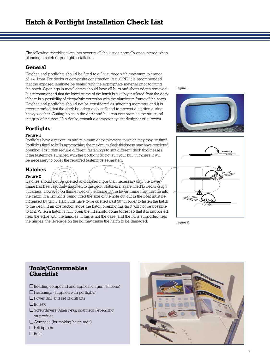The following checklist takes into account all the issues normally encountered when planning a hatch or portlight installation.

# **General**

Hatches and portlights should be fitted to a flat surface with maximum tolerance of +/- 1mm. For decks of composite construction (e.g. GRP) it is recommended that the exposed laminate be sealed with the appropriate material prior to fitting the hatch. Openings in metal decks should have all burs and sharp edges removed. It is recommended that the lower frame of the hatch is suitably insulated from the deck if there is a possibility of electrolytic corrosion with the aluminium frame of the hatch. Hatches and portlights should not be considered as stiffening members and it is recommended that the deck be adequately stiffened to prevent distortion during heavy weather. Cutting holes in the deck and hull can compromise the structural integrity of the boat. If in doubt, consult a competent yacht designer or surveyor.

# **Portlights**

#### **Figure 1**

Portlights have a maximum and minimum deck thickness to which they may be fitted. Portlights fitted to hulls approaching the maximum deck thickness may have restricted opening. Portlights require different fastenings to suit different deck thicknesses. If the fastenings supplied with the portlight do not suit your hull thickness it will be necessary to order the required fastenings separately.

# **Hatches**

#### **Figure 2**

Hatches should not be opened and closed more than necessary until the lower frame has been securely mounted to the deck. Hatches may be fitted to decks of any thickness. However, on thinner decks the flange in the lower frame may intrude into the cabin. If a Trimkit is being fitted the size of the hole cut out in the boat must be increased by 3mm. Hatch lids have to be opened past 90º in order to fasten the hatch to the deck. If an obstruction stops the hatch opening this far it will not be possible to fit it. When a hatch is fully open the lid should come to rest so that it is supported near the edge with the handles. If this is not the case, and the lid is supported near the hinges, the leverage on the lid may cause the hatch to be damaged. Figure 2

Figure 1







# **Tools/Consumables Checklist**

- ❏ Bedding compound and application gun (silicone)
- ❏ Fastenings (supplied with portlights)
- ❏ Power drill and set of drill bits
- ❏ Jig saw
- ❏ Screwdrivers, Allen keys, spanners depending on product
- ❏ Compass (for making hatch radii)
- ❏ Felt tip pen
- ❏ Ruler

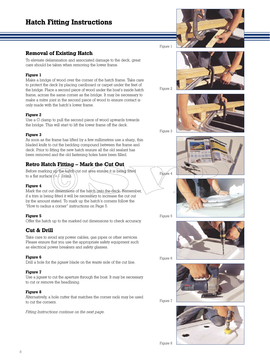# **Hatch Fitting Instructions**

## **Removal of Existing Hatch**

To eleviate delamination and associated damage to the deck, great care should be taken when removing the lower frame.

#### **Figure 1**

Make a bridge of wood over the corner of the hatch frame. Take care to protect the deck by placing cardboard or carpet under the feet of the bridge. Place a second piece of wood under the boat's inside hatch frame, across the same corner as the bridge. It may be necessary to make a mitre joint in the second piece of wood to ensure contact is only made with the hatch's lower frame.

#### **Figure 2**

Use a G clamp to pull the second piece of wood upwards towards the bridge. This will start to lift the lower frame off the deck.

#### **Figure 3**

As soon as the frame has lifted by a few millimetres use a sharp, thin bladed knife to cut the bedding compound between the frame and deck. Prior to fitting the new hatch ensure all the old sealant has been removed and the old fastening holes have been filled.

# **Retro Hatch Fitting – Mark the Cut Out**

Before marking up the hatch cut out area ensure it is being fitted to a flat surface  $(+/Imm)$ .

#### **Figure 4**

Mark the cut out dimensions of the hatch onto the deck. Remember, if a trim is being fitted it will be necessary to increase the cut out by the amount stated. To mark up the hatch's corners follow the "How to radius a corner" instructions on Page 5.

#### **Figure 5**

Offer the hatch up to the marked out dimensions to check accuracy.

# **Cut & Drill**

Take care to avoid any power cables, gas pipes or other services. Please ensure that you use the appropriate safety equipment such as electrical power breakers and safety glasses.

#### **Figure 6**

Drill a hole for the jigsaw blade on the waste side of the cut line.

#### **Figure 7**

Use a jigsaw to cut the aperture through the boat. It may be necessary to cut or remove the headlining.

#### **Figure 8**

Alternatively, a hole cutter that matches the corner radii may be used to cut the corners.

*Fitting Instructions continue on the next page.*

Figure 1



Figure 2



Figure 3





Figure 5

gyre 4



Figure 6



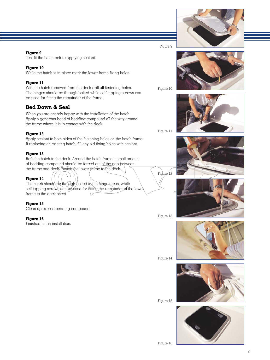#### **Figure 9**

Test fit the hatch before applying sealant.

#### **Figure 10**

While the hatch is in place mark the lower frame fixing holes.

#### **Figure 11**

With the hatch removed from the deck drill all fastening holes. The hinges should be through bolted while self-tapping screws can be used for fitting the remainder of the frame.

# **Bed Down & Seal**

When you are entirely happy with the installation of the hatch. Apply a generous bead of bedding compound all the way around the frame where it is in contact with the deck.

#### **Figure 12**

Apply sealant to both sides of the fastening holes on the hatch frame. If replacing an existing hatch, fill any old fixing holes with sealant.

#### **Figure 13**

Refit the hatch to the deck. Around the hatch frame a small amount of bedding compound should be forced out of the gap between the frame and deck. Fasten the lower frame to the deck.

#### **Figure 14**

The hatch should be through bolted in the hinge areas, while self-tapping screws can be used for fitting the remainder of the lower frame to the deck sheet.

#### **Figure 15**

Clean up excess bedding compound.

#### **Figure 16**

Finished hatch installation.

Figure 9 Figure 10 Figure 11





Figure 13

Figure 12



Figure 14



Figure 15



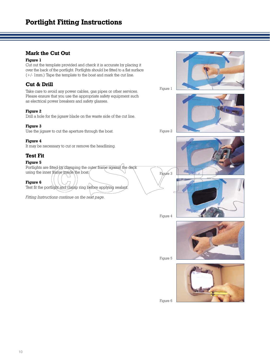# **Portlight Fitting Instructions**

# **Mark the Cut Out**

#### **Figure 1**

Cut out the template provided and check it is accurate by placing it over the back of the portlight. Portlights should be fitted to a flat surface (+/- 1mm.) Tape the template to the boat and mark the cut line.

## **Cut & Drill**

Take care to avoid any power cables, gas pipes or other services. Please ensure that you use the appropriate safety equipment such as electrical power breakers and safety glasses.

#### **Figure 2**

Drill a hole for the jigsaw blade on the waste side of the cut line.

#### **Figure 3**

Use the jigsaw to cut the aperture through the boat.

#### **Figure 4**

It may be necessary to cut or remove the headlining.

# **Test Fit**

#### **Figure 5**

Portlights are fitted by clamping the outer frame against the deck using the inner frame inside the boat.

**Figure 6**

Test fit the portlight and clamp ring before applying sealant

*Fitting Instructions continue on the next page.*

Figure 2

Figure 1



Figure 4

Figure 3



Figure 5

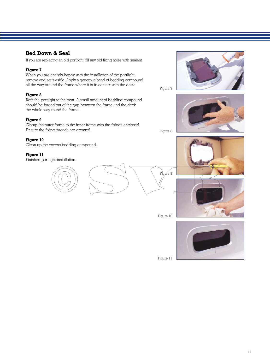# **Bed Down & Seal**

If you are replacing an old portlight, fill any old fixing holes with sealant.

#### **Figure 7**

When you are entirely happy with the installation of the portlight, remove and set it aside. Apply a generous bead of bedding compound all the way around the frame where it is in contact with the deck.

#### **Figure 8**

Refit the portlight to the boat. A small amount of bedding compound should be forced out of the gap between the frame and the deck the whole way round the frame.

#### **Figure 9**

Clamp the outer frame to the inner frame with the fixings enclosed. Ensure the fixing threads are greased.

#### **Figure 10**

Clean up the excess bedding compound.

#### **Figure 11**

Finished portlight installation.













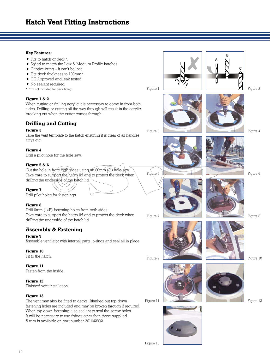#### **Key Features:**

- Fits to hatch or deck\*.
- Styled to match the Low & Medium Profile hatches.
- $\bullet$  Captive bung it can't be lost.
- Fits deck thickness to 100mm\*.
- CE Approved and leak tested.
- No sealant required.
- \* Trim not included for deck fitting.

#### **Figure 1 & 2**

When cutting or drilling acrylic it is necessary to come in from both sides. Drilling or cutting all the way through will result in the acrylic breaking out when the cutter comes through.

# **Drilling and Cutting**

#### **Figure 3**

Tape the vent template to the hatch ensuring it is clear of all handles, stays etc.

#### **Figure 4**

Drill a pilot hole for the hole saw.

#### **Figure 5 & 6**

Cut the hole in from both sides using an 80mm (3'') hole saw. Take care to support the hatch lid and to protect the deck when drilling the underside of the hatch lid.

**Figure 7**

Drill pilot holes for fastenings.

#### **Figure 8**

Drill 6mm (1/4'') fastening holes from both sides. Take care to support the hatch lid and to protect the deck when drilling the underside of the hatch lid.

## **Assembly & Fastening**

#### **Figure 9**

Assemble ventilator with internal parts, o-rings and seal all in place.

#### **Figure 10**

Fit to the hatch.

#### **Figure 11**

Fasten from the inside.

#### **Figure 12**

Finished vent installation.

#### **Figure 13**

The vent may also be fitted to decks. Blanked out top down fastening holes are included and may be broken through if required. When top down fastening, use sealant to seal the screw holes. It will be necessary to use fixings other than those supplied. A trim is available on part number 361042992.







B

Figure 4

Figure 2



Figure 5

Figure 7

Figure 1





Figure 6









Figure 9





Figure 12

Figure 10

Figure 13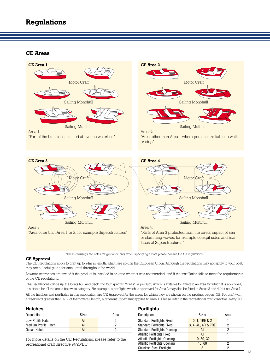## **CE Areas**



or slamming waves, for example cockpit sides and rear faces of Superstructures"

These drawings are notes for guidance only, when specifying a boat please consult the full regulations.

#### **CE Approval**

The CE Regulations apply to craft up to 24m in length, which are sold in the European Union. Although the regulations may not apply to your boat, they are a useful guide for small craft throughout the world.

Lewmar warranties are invalid if the product is installed in an area where it was not intended, and if the installation fails to meet the requirements of the CE regulations.

The Regulations divide up the boats hull and deck into four specific "Areas". A product, which is suitable for fitting to an area for which it is approved, is suitable for all the areas below its category. For example, a portlight, which is approved for Area 2 may also be fitted to Areas 3 and 4, but not Area 1.

All the hatches and portlights in this publication are CE Approved for the areas for which they are shown on the product pages. NB: For craft with a freeboard greater than 1/12 of their overall length, a different upper limit applies to Area 1. Please refer to the recreational craft directive 94/25/EC.

| <b>Hatches</b>       |              |      |
|----------------------|--------------|------|
| Description          | <b>Sizes</b> | Area |
| Low Profile Hatch    | All          |      |
| Medium Profile Hatch | All          |      |
| Ocean Hatch          | All          |      |

For more details on the CE Regulations, please refer to the recreational craft directive 94/25/EC.

#### **Portlights**

| Sizes              | Area |
|--------------------|------|
| 0, 1, 1RE & 2      |      |
| 3, 4, 4L, 4R & 7RE |      |
| All                | ּ    |
| All                |      |
| 10, 30, 32         |      |
| 40.60              |      |
| 8                  | ּ    |
|                    |      |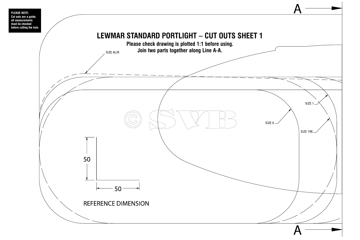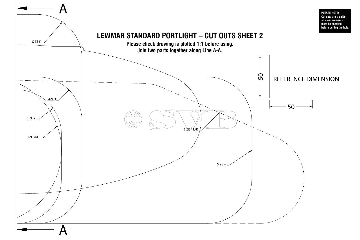

**PLEASE NOTE: Cut outs are a guide all measurements must be checked before cutting the hole.**

# **REFERENCE DIMENSION**